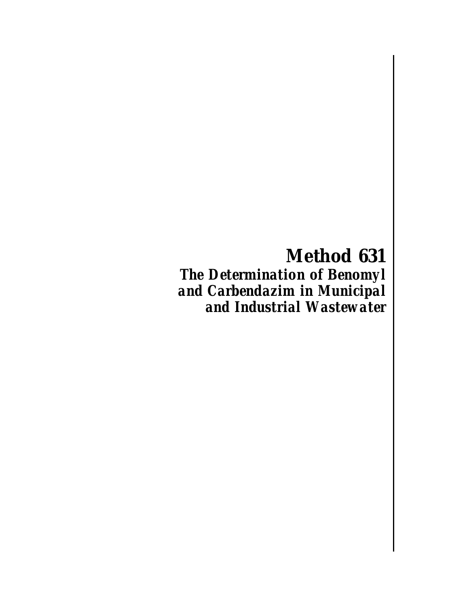**Method 631** *The Determination of Benomyl and Carbendazim in Municipal and Industrial Wastewater*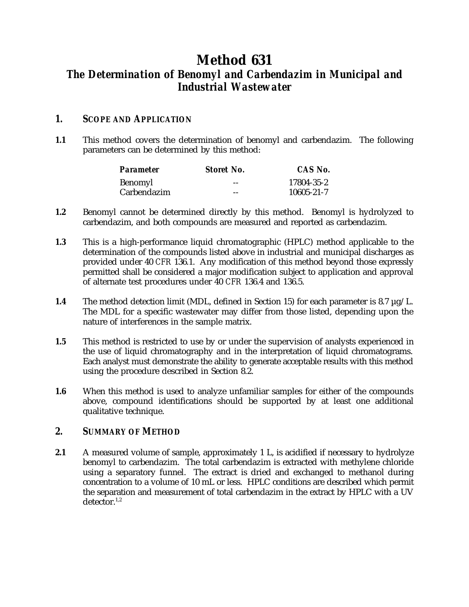# **Method 631** *The Determination of Benomyl and Carbendazim in Municipal and Industrial Wastewater*

# *1. SCOPE AND APPLICATION*

**1.1** This method covers the determination of benomyl and carbendazim. The following parameters can be determined by this method:

| <b>Parameter</b> | <b>Storet No.</b> | CAS No.    |
|------------------|-------------------|------------|
| Benomyl          | $- -$             | 17804-35-2 |
| Carbendazim      | $- -$             | 10605-21-7 |

- **1.2** Benomyl cannot be determined directly by this method. Benomyl is hydrolyzed to carbendazim, and both compounds are measured and reported as carbendazim.
- **1.3** This is a high-performance liquid chromatographic (HPLC) method applicable to the determination of the compounds listed above in industrial and municipal discharges as provided under 40 *CFR* 136.1. Any modification of this method beyond those expressly permitted shall be considered a major modification subject to application and approval of alternate test procedures under 40 *CFR* 136.4 and 136.5.
- **1.4** The method detection limit (MDL, defined in Section 15) for each parameter is 8.7 µg/L. The MDL for a specific wastewater may differ from those listed, depending upon the nature of interferences in the sample matrix.
- **1.5** This method is restricted to use by or under the supervision of analysts experienced in the use of liquid chromatography and in the interpretation of liquid chromatograms. Each analyst must demonstrate the ability to generate acceptable results with this method using the procedure described in Section 8.2.
- **1.6** When this method is used to analyze unfamiliar samples for either of the compounds above, compound identifications should be supported by at least one additional qualitative technique.

# *2. SUMMARY OF METHOD*

**2.1** A measured volume of sample, approximately 1 L, is acidified if necessary to hydrolyze benomyl to carbendazim. The total carbendazim is extracted with methylene chloride using a separatory funnel. The extract is dried and exchanged to methanol during concentration to a volume of 10 mL or less. HPLC conditions are described which permit the separation and measurement of total carbendazim in the extract by HPLC with a UV  $d$ etector. $1,2$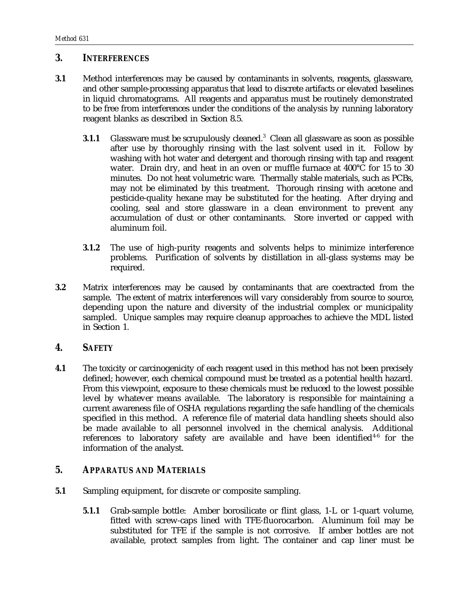## *3. INTERFERENCES*

- **3.1** Method interferences may be caused by contaminants in solvents, reagents, glassware, and other sample-processing apparatus that lead to discrete artifacts or elevated baselines in liquid chromatograms. All reagents and apparatus must be routinely demonstrated to be free from interferences under the conditions of the analysis by running laboratory reagent blanks as described in Section 8.5.
	- **3.1.1** Glassware must be scrupulously cleaned.<sup>3</sup> Clean all glassware as soon as possible after use by thoroughly rinsing with the last solvent used in it. Follow by washing with hot water and detergent and thorough rinsing with tap and reagent water. Drain dry, and heat in an oven or muffle furnace at 400°C for 15 to 30 minutes. Do not heat volumetric ware. Thermally stable materials, such as PCBs, may not be eliminated by this treatment. Thorough rinsing with acetone and pesticide-quality hexane may be substituted for the heating. After drying and cooling, seal and store glassware in a clean environment to prevent any accumulation of dust or other contaminants. Store inverted or capped with aluminum foil.
	- **3.1.2** The use of high-purity reagents and solvents helps to minimize interference problems. Purification of solvents by distillation in all-glass systems may be required.
- **3.2** Matrix interferences may be caused by contaminants that are coextracted from the sample. The extent of matrix interferences will vary considerably from source to source, depending upon the nature and diversity of the industrial complex or municipality sampled. Unique samples may require cleanup approaches to achieve the MDL listed in Section 1.

## *4. SAFETY*

**4.1** The toxicity or carcinogenicity of each reagent used in this method has not been precisely defined; however, each chemical compound must be treated as a potential health hazard. From this viewpoint, exposure to these chemicals must be reduced to the lowest possible level by whatever means available. The laboratory is responsible for maintaining a current awareness file of OSHA regulations regarding the safe handling of the chemicals specified in this method. A reference file of material data handling sheets should also be made available to all personnel involved in the chemical analysis. Additional references to laboratory safety are available and have been identified<sup>4-6</sup> for the information of the analyst.

#### *5. APPARATUS AND MATERIALS*

- **5.1** Sampling equipment, for discrete or composite sampling.
	- **5.1.1** Grab-sample bottle: Amber borosilicate or flint glass, 1-L or 1-quart volume, fitted with screw-caps lined with TFE-fluorocarbon. Aluminum foil may be substituted for TFE if the sample is not corrosive. If amber bottles are not available, protect samples from light. The container and cap liner must be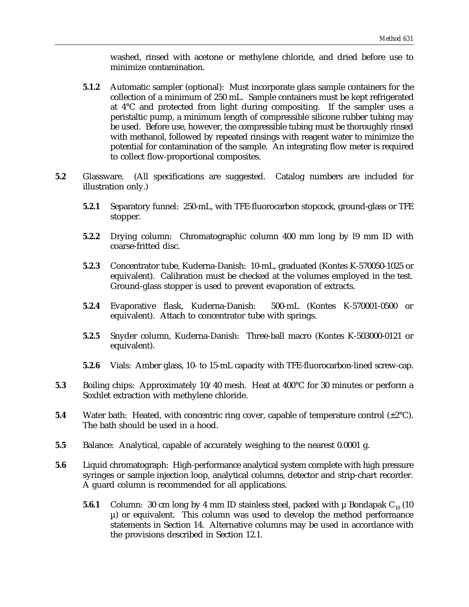washed, rinsed with acetone or methylene chloride, and dried before use to minimize contamination.

- **5.1.2** Automatic sampler (optional): Must incorporate glass sample containers for the collection of a minimum of 250 mL. Sample containers must be kept refrigerated at 4°C and protected from light during compositing. If the sampler uses a peristaltic pump, a minimum length of compressible silicone rubber tubing may be used. Before use, however, the compressible tubing must be thoroughly rinsed with methanol, followed by repeated rinsings with reagent water to minimize the potential for contamination of the sample. An integrating flow meter is required to collect flow-proportional composites.
- **5.2** Glassware. (All specifications are suggested. Catalog numbers are included for illustration only.)
	- **5.2.1** Separatory funnel: 250-mL, with TFE-fluorocarbon stopcock, ground-glass or TFE stopper.
	- **5.2.2** Drying column: Chromatographic column 400 mm long by l9 mm ID with coarse-fritted disc.
	- **5.2.3** Concentrator tube, Kuderna-Danish: 10-mL, graduated (Kontes K-570050-1025 or equivalent). Calibration must be checked at the volumes employed in the test. Ground-glass stopper is used to prevent evaporation of extracts.
	- **5.2.4** Evaporative flask, Kuderna-Danish: 500-mL (Kontes K-570001-0500 or equivalent). Attach to concentrator tube with springs.
	- **5.2.5** Snyder column, Kuderna-Danish: Three-ball macro (Kontes K-503000-0121 or equivalent).
	- **5.2.6** Vials: Amber glass, 10- to 15-mL capacity with TFE-fluorocarbon-lined screw-cap.
- **5.3** Boiling chips: Approximately 10/40 mesh. Heat at 400°C for 30 minutes or perform a Soxhlet extraction with methylene chloride.
- **5.4** Water bath: Heated, with concentric ring cover, capable of temperature control  $(\pm 2^{\circ}C)$ . The bath should be used in a hood.
- **5.5** Balance: Analytical, capable of accurately weighing to the nearest 0.0001 g.
- **5.6** Liquid chromatograph: High-performance analytical system complete with high pressure syringes or sample injection loop, analytical columns, detector and strip-chart recorder. A guard column is recommended for all applications.
	- **5.6.1** Column: 30 cm long by 4 mm ID stainless steel, packed with  $\mu$  Bondapak  $C_{18}$  (10  $\mu$ ) or equivalent. This column was used to develop the method performance statements in Section 14. Alternative columns may be used in accordance with the provisions described in Section 12.1.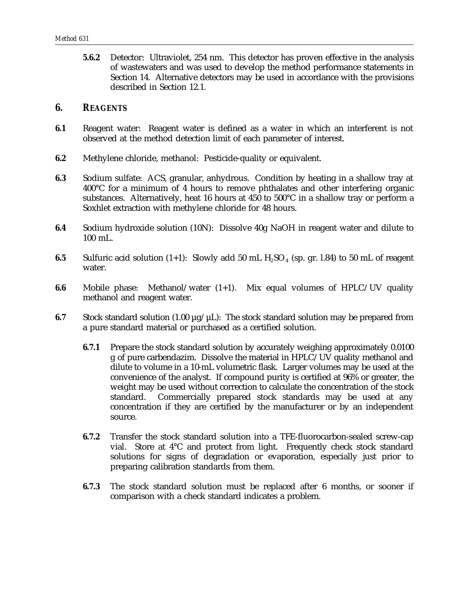**5.6.2** Detector: Ultraviolet, 254 nm. This detector has proven effective in the analysis of wastewaters and was used to develop the method performance statements in Section 14. Alternative detectors may be used in accordance with the provisions described in Section 12.1.

#### *6. REAGENTS*

- **6.1** Reagent water: Reagent water is defined as a water in which an interferent is not observed at the method detection limit of each parameter of interest.
- **6.2** Methylene chloride, methanol: Pesticide-quality or equivalent.
- **6.3** Sodium sulfate: ACS, granular, anhydrous. Condition by heating in a shallow tray at 400°C for a minimum of 4 hours to remove phthalates and other interfering organic substances. Alternatively, heat 16 hours at 450 to 500°C in a shallow tray or perform a Soxhlet extraction with methylene chloride for 48 hours.
- **6.4** Sodium hydroxide solution (10N): Dissolve 40g NaOH in reagent water and dilute to 100 mL.
- **6.5** Sulfuric acid solution  $(1+1)$ : Slowly add 50 mL  $H_2SO_4$  (sp. gr. l.84) to 50 mL of reagent water.
- **6.6** Mobile phase: Methanol/water (1+1). Mix equal volumes of HPLC/UV quality methanol and reagent water.
- **6.7** Stock standard solution (1.00  $\mu$ g/ $\mu$ L): The stock standard solution may be prepared from a pure standard material or purchased as a certified solution.
	- **6.7.1** Prepare the stock standard solution by accurately weighing approximately 0.0100 g of pure carbendazim. Dissolve the material in HPLC/UV quality methanol and dilute to volume in a 10-mL volumetric flask. Larger volumes may be used at the convenience of the analyst. If compound purity is certified at 96% or greater, the weight may be used without correction to calculate the concentration of the stock standard. Commercially prepared stock standards may be used at any concentration if they are certified by the manufacturer or by an independent source.
	- **6.7.2** Transfer the stock standard solution into a TFE-fluorocarbon-sealed screw-cap vial. Store at 4°C and protect from light. Frequently check stock standard solutions for signs of degradation or evaporation, especially just prior to preparing calibration standards from them.
	- **6.7.3** The stock standard solution must be replaced after 6 months, or sooner if comparison with a check standard indicates a problem.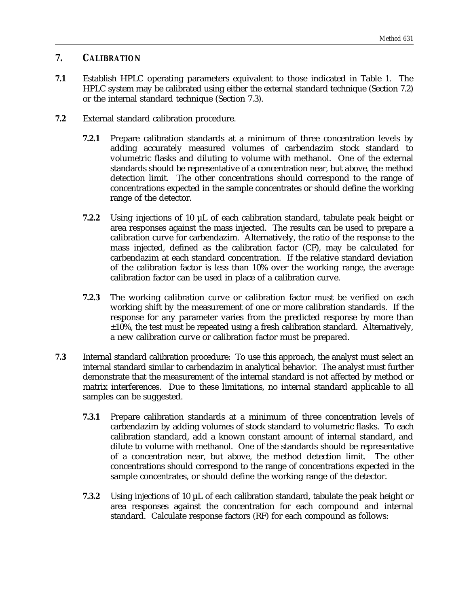# *7. CALIBRATION*

- **7.1** Establish HPLC operating parameters equivalent to those indicated in Table 1. The HPLC system may be calibrated using either the external standard technique (Section 7.2) or the internal standard technique (Section 7.3).
- **7.2** External standard calibration procedure.
	- **7.2.1** Prepare calibration standards at a minimum of three concentration levels by adding accurately measured volumes of carbendazim stock standard to volumetric flasks and diluting to volume with methanol. One of the external standards should be representative of a concentration near, but above, the method detection limit. The other concentrations should correspond to the range of concentrations expected in the sample concentrates or should define the working range of the detector.
	- **7.2.2** Using injections of 10 µL of each calibration standard, tabulate peak height or area responses against the mass injected. The results can be used to prepare a calibration curve for carbendazim. Alternatively, the ratio of the response to the mass injected, defined as the calibration factor (CF), may be calculated for carbendazim at each standard concentration. If the relative standard deviation of the calibration factor is less than 10% over the working range, the average calibration factor can be used in place of a calibration curve.
	- **7.2.3** The working calibration curve or calibration factor must be verified on each working shift by the measurement of one or more calibration standards. If the response for any parameter varies from the predicted response by more than  $\pm 10$ %, the test must be repeated using a fresh calibration standard. Alternatively, a new calibration curve or calibration factor must be prepared.
- **7.3** Internal standard calibration procedure: To use this approach, the analyst must select an internal standard similar to carbendazim in analytical behavior. The analyst must further demonstrate that the measurement of the internal standard is not affected by method or matrix interferences. Due to these limitations, no internal standard applicable to all samples can be suggested.
	- **7.3.1** Prepare calibration standards at a minimum of three concentration levels of carbendazim by adding volumes of stock standard to volumetric flasks. To each calibration standard, add a known constant amount of internal standard, and dilute to volume with methanol. One of the standards should be representative of a concentration near, but above, the method detection limit. The other concentrations should correspond to the range of concentrations expected in the sample concentrates, or should define the working range of the detector.
	- **7.3.2** Using injections of 10 µL of each calibration standard, tabulate the peak height or area responses against the concentration for each compound and internal standard. Calculate response factors (RF) for each compound as follows: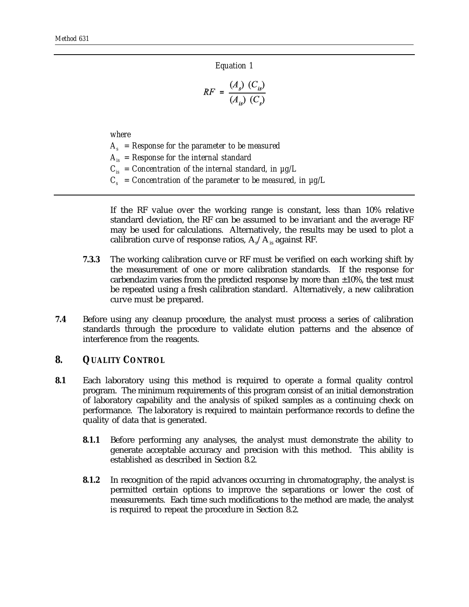*Equation 1*

$$
RF = \frac{(A_s)(C_{is})}{(A_{is})(C_s)}
$$

*where*

 $A_s$  = Response for the parameter to be measured  $A_{is}$  = Response for the internal standard  $C_{iS}$  = Concentration of the internal standard, in  $\mu$ g/L

 $C_s$  = Concentration of the parameter to be measured, in  $\mu$ g/L

If the RF value over the working range is constant, less than 10% relative standard deviation, the RF can be assumed to be invariant and the average RF may be used for calculations. Alternatively, the results may be used to plot a calibration curve of response ratios,  $A_s/A_s$  against RF.

- **7.3.3** The working calibration curve or RF must be verified on each working shift by the measurement of one or more calibration standards. If the response for carbendazim varies from the predicted response by more than  $\pm 10\%$ , the test must be repeated using a fresh calibration standard. Alternatively, a new calibration curve must be prepared.
- **7.4** Before using any cleanup procedure, the analyst must process a series of calibration standards through the procedure to validate elution patterns and the absence of interference from the reagents.

## *8. QUALITY CONTROL*

- **8.1** Each laboratory using this method is required to operate a formal quality control program. The minimum requirements of this program consist of an initial demonstration of laboratory capability and the analysis of spiked samples as a continuing check on performance. The laboratory is required to maintain performance records to define the quality of data that is generated.
	- **8.1.1** Before performing any analyses, the analyst must demonstrate the ability to generate acceptable accuracy and precision with this method. This ability is established as described in Section 8.2.
	- **8.1.2** In recognition of the rapid advances occurring in chromatography, the analyst is permitted certain options to improve the separations or lower the cost of measurements. Each time such modifications to the method are made, the analyst is required to repeat the procedure in Section 8.2.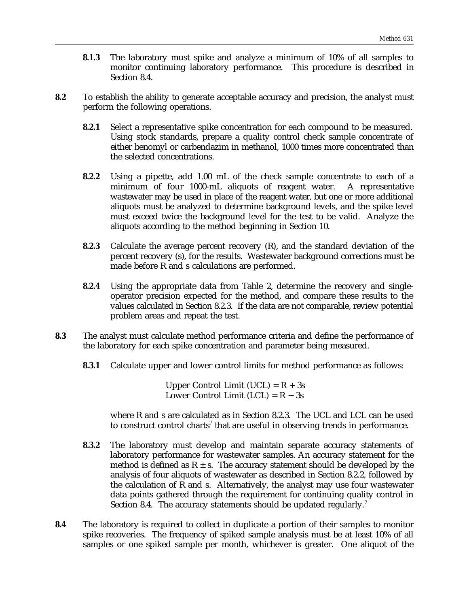- **8.1.3** The laboratory must spike and analyze a minimum of 10% of all samples to monitor continuing laboratory performance. This procedure is described in Section 8.4.
- **8.2** To establish the ability to generate acceptable accuracy and precision, the analyst must perform the following operations.
	- **8.2.1** Select a representative spike concentration for each compound to be measured. Using stock standards, prepare a quality control check sample concentrate of either benomyl or carbendazim in methanol, 1000 times more concentrated than the selected concentrations.
	- **8.2.2** Using a pipette, add 1.00 mL of the check sample concentrate to each of a minimum of four 1000-mL aliquots of reagent water. A representative wastewater may be used in place of the reagent water, but one or more additional aliquots must be analyzed to determine background levels, and the spike level must exceed twice the background level for the test to be valid. Analyze the aliquots according to the method beginning in Section 10.
	- **8.2.3** Calculate the average percent recovery (R), and the standard deviation of the percent recovery (s), for the results. Wastewater background corrections must be made before R and s calculations are performed.
	- **8.2.4** Using the appropriate data from Table 2, determine the recovery and singleoperator precision expected for the method, and compare these results to the values calculated in Section 8.2.3. If the data are not comparable, review potential problem areas and repeat the test.
- **8.3** The analyst must calculate method performance criteria and define the performance of the laboratory for each spike concentration and parameter being measured.
	- **8.3.1** Calculate upper and lower control limits for method performance as follows:

Upper Control Limit (UCL) =  $R + 3s$ Lower Control Limit (LCL) =  $R - 3s$ 

where R and s are calculated as in Section 8.2.3. The UCL and LCL can be used to construct control charts<sup>7</sup> that are useful in observing trends in performance.

- **8.3.2** The laboratory must develop and maintain separate accuracy statements of laboratory performance for wastewater samples. An accuracy statement for the method is defined as  $R \pm s$ . The accuracy statement should be developed by the analysis of four aliquots of wastewater as described in Section 8.2.2, followed by the calculation of R and s. Alternatively, the analyst may use four wastewater data points gathered through the requirement for continuing quality control in Section 8.4. The accuracy statements should be updated regularly.<sup>7</sup>
- **8.4** The laboratory is required to collect in duplicate a portion of their samples to monitor spike recoveries. The frequency of spiked sample analysis must be at least 10% of all samples or one spiked sample per month, whichever is greater. One aliquot of the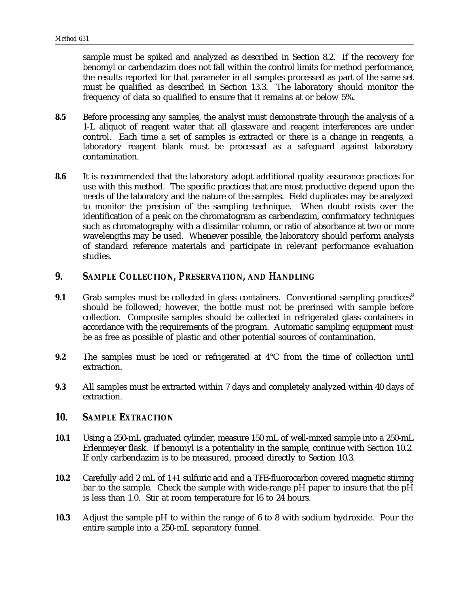sample must be spiked and analyzed as described in Section 8.2. If the recovery for benomyl or carbendazim does not fall within the control limits for method performance, the results reported for that parameter in all samples processed as part of the same set must be qualified as described in Section 13.3. The laboratory should monitor the frequency of data so qualified to ensure that it remains at or below 5%.

- **8.5** Before processing any samples, the analyst must demonstrate through the analysis of a 1-L aliquot of reagent water that all glassware and reagent interferences are under control. Each time a set of samples is extracted or there is a change in reagents, a laboratory reagent blank must be processed as a safeguard against laboratory contamination.
- **8.6** It is recommended that the laboratory adopt additional quality assurance practices for use with this method. The specific practices that are most productive depend upon the needs of the laboratory and the nature of the samples. Field duplicates may be analyzed to monitor the precision of the sampling technique. When doubt exists over the identification of a peak on the chromatogram as carbendazim, confirmatory techniques such as chromatography with a dissimilar column, or ratio of absorbance at two or more wavelengths may be used. Whenever possible, the laboratory should perform analysis of standard reference materials and participate in relevant performance evaluation studies.

## *9. SAMPLE COLLECTION, PRESERVATION, AND HANDLING*

- **9.1** Grab samples must be collected in glass containers. Conventional sampling practices<sup>8</sup> should be followed; however, the bottle must not be prerinsed with sample before collection. Composite samples should be collected in refrigerated glass containers in accordance with the requirements of the program. Automatic sampling equipment must be as free as possible of plastic and other potential sources of contamination.
- **9.2** The samples must be iced or refrigerated at 4°C from the time of collection until extraction.
- **9.3** All samples must be extracted within 7 days and completely analyzed within 40 days of extraction.

#### *10. SAMPLE EXTRACTION*

- **10.1** Using a 250-mL graduated cylinder, measure 150 mL of well-mixed sample into a 250-mL Erlenmeyer flask. If benomyl is a potentiality in the sample, continue with Section 10.2. If only carbendazim is to be measured, proceed directly to Section 10.3.
- **10.2** Carefully add 2 mL of 1+1 sulfuric acid and a TFE-fluorocarbon covered magnetic stirring bar to the sample. Check the sample with wide-range pH paper to insure that the pH is less than 1.0. Stir at room temperature for l6 to 24 hours.
- **10.3** Adjust the sample pH to within the range of 6 to 8 with sodium hydroxide. Pour the entire sample into a 250-mL separatory funnel.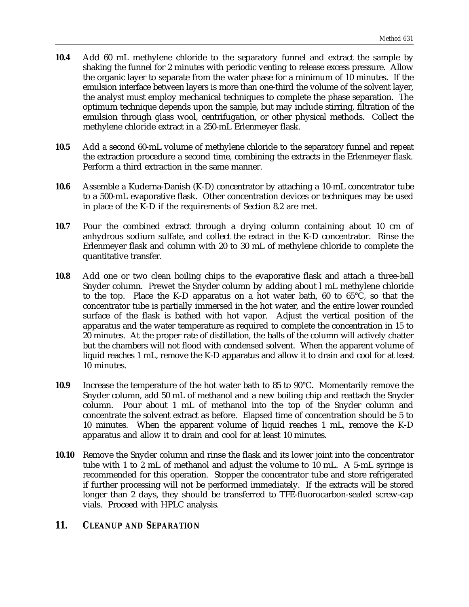- **10.4** Add 60 mL methylene chloride to the separatory funnel and extract the sample by shaking the funnel for 2 minutes with periodic venting to release excess pressure. Allow the organic layer to separate from the water phase for a minimum of 10 minutes. If the emulsion interface between layers is more than one-third the volume of the solvent layer, the analyst must employ mechanical techniques to complete the phase separation. The optimum technique depends upon the sample, but may include stirring, filtration of the emulsion through glass wool, centrifugation, or other physical methods. Collect the methylene chloride extract in a 250-mL Erlenmeyer flask.
- **10.5** Add a second 60-mL volume of methylene chloride to the separatory funnel and repeat the extraction procedure a second time, combining the extracts in the Erlenmeyer flask. Perform a third extraction in the same manner.
- **10.6** Assemble a Kuderna-Danish (K-D) concentrator by attaching a 10-mL concentrator tube to a 500-mL evaporative flask. Other concentration devices or techniques may be used in place of the K-D if the requirements of Section 8.2 are met.
- **10.7** Pour the combined extract through a drying column containing about 10 cm of anhydrous sodium sulfate, and collect the extract in the K-D concentrator. Rinse the Erlenmeyer flask and column with 20 to 30 mL of methylene chloride to complete the quantitative transfer.
- **10.8** Add one or two clean boiling chips to the evaporative flask and attach a three-ball Snyder column. Prewet the Snyder column by adding about l mL methylene chloride to the top. Place the K-D apparatus on a hot water bath, 60 to 65°C, so that the concentrator tube is partially immersed in the hot water, and the entire lower rounded surface of the flask is bathed with hot vapor. Adjust the vertical position of the apparatus and the water temperature as required to complete the concentration in 15 to 20 minutes. At the proper rate of distillation, the balls of the column will actively chatter but the chambers will not flood with condensed solvent. When the apparent volume of liquid reaches 1 mL, remove the K-D apparatus and allow it to drain and cool for at least 10 minutes.
- **10.9** Increase the temperature of the hot water bath to 85 to 90°C. Momentarily remove the Snyder column, add 50 mL of methanol and a new boiling chip and reattach the Snyder column. Pour about 1 mL of methanol into the top of the Snyder column and concentrate the solvent extract as before. Elapsed time of concentration should be 5 to 10 minutes. When the apparent volume of liquid reaches 1 mL, remove the K-D apparatus and allow it to drain and cool for at least 10 minutes.
- **10.10** Remove the Snyder column and rinse the flask and its lower joint into the concentrator tube with 1 to 2 mL of methanol and adjust the volume to 10 mL. A 5-mL syringe is recommended for this operation. Stopper the concentrator tube and store refrigerated if further processing will not be performed immediately. If the extracts will be stored longer than 2 days, they should be transferred to TFE-fluorocarbon-sealed screw-cap vials. Proceed with HPLC analysis.

# *11. CLEANUP AND SEPARATION*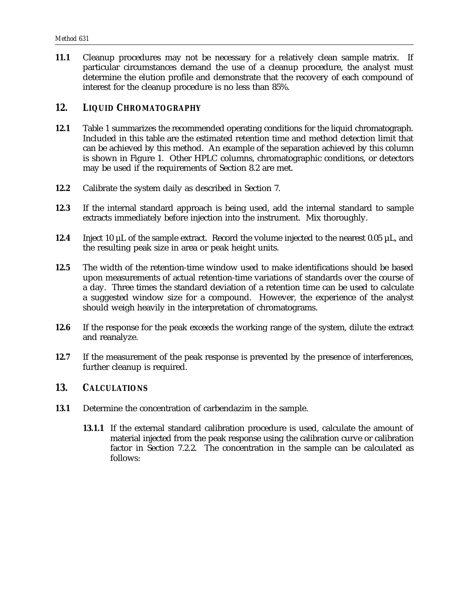**11.1** Cleanup procedures may not be necessary for a relatively clean sample matrix. If particular circumstances demand the use of a cleanup procedure, the analyst must determine the elution profile and demonstrate that the recovery of each compound of interest for the cleanup procedure is no less than 85%.

## *12. LIQUID CHROMATOGRAPHY*

- **12.1** Table 1 summarizes the recommended operating conditions for the liquid chromatograph. Included in this table are the estimated retention time and method detection limit that can be achieved by this method. An example of the separation achieved by this column is shown in Figure 1. Other HPLC columns, chromatographic conditions, or detectors may be used if the requirements of Section 8.2 are met.
- **12.2** Calibrate the system daily as described in Section 7.
- **12.3** If the internal standard approach is being used, add the internal standard to sample extracts immediately before injection into the instrument. Mix thoroughly.
- **12.4** Inject 10 µL of the sample extract. Record the volume injected to the nearest 0.05 µL, and the resulting peak size in area or peak height units.
- **12.5** The width of the retention-time window used to make identifications should be based upon measurements of actual retention-time variations of standards over the course of a day. Three times the standard deviation of a retention time can be used to calculate a suggested window size for a compound. However, the experience of the analyst should weigh heavily in the interpretation of chromatograms.
- **12.6** If the response for the peak exceeds the working range of the system, dilute the extract and reanalyze.
- **12.7** If the measurement of the peak response is prevented by the presence of interferences, further cleanup is required.

## *13. CALCULATIONS*

- **13.1** Determine the concentration of carbendazim in the sample.
	- **13.1.1** If the external standard calibration procedure is used, calculate the amount of material injected from the peak response using the calibration curve or calibration factor in Section 7.2.2. The concentration in the sample can be calculated as follows: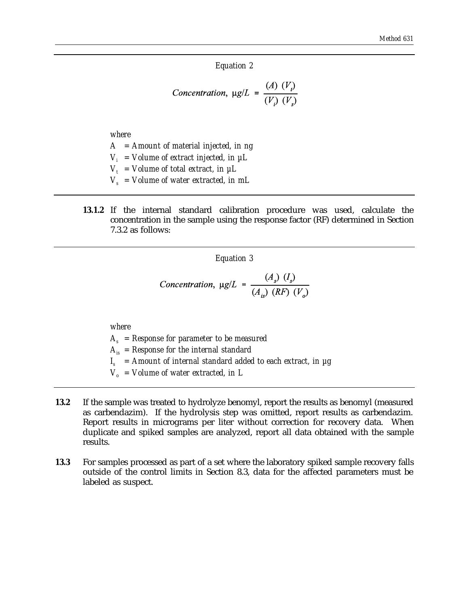#### *Equation 2*

$$
Concentration, \ \mu g/L = \frac{(A) \ (V_i)}{(V_i) \ (V_s)}
$$

*where*

- *A = Amount of material injected, in ng*
- $V_i$  = Volume of extract injected, in  $\mu$ L
- $V_t$  = Volume of total extract, in  $\mu L$
- $V_s$  = Volume of water extracted, in mL
- **13.1.2** If the internal standard calibration procedure was used, calculate the concentration in the sample using the response factor (RF) determined in Section 7.3.2 as follows:

*Equation 3*

Concentration, 
$$
\mu g/L = \frac{(A_s)(I_s)}{(A_{is})(RF)(V_o)}
$$

*where*

 $A_s$  = Response for parameter to be measured  $A_{is}$  = Response for the internal standard  $I_s$  = Amount of internal standard added to each extract, in  $\mu$ g

 $V_a$  = Volume of water extracted, in L

- **13.2** If the sample was treated to hydrolyze benomyl, report the results as benomyl (measured as carbendazim). If the hydrolysis step was omitted, report results as carbendazim. Report results in micrograms per liter without correction for recovery data. When duplicate and spiked samples are analyzed, report all data obtained with the sample results.
- **13.3** For samples processed as part of a set where the laboratory spiked sample recovery falls outside of the control limits in Section 8.3, data for the affected parameters must be labeled as suspect.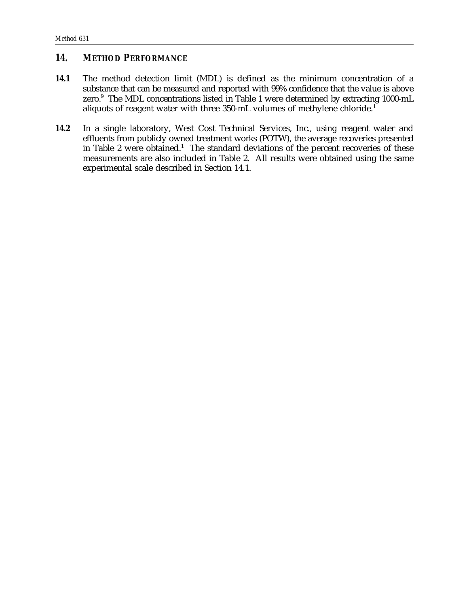# *14. METHOD PERFORMANCE*

- **14.1** The method detection limit (MDL) is defined as the minimum concentration of a substance that can be measured and reported with 99% confidence that the value is above zero.<sup>9</sup> The MDL concentrations listed in Table 1 were determined by extracting 1000-mL aliquots of reagent water with three 350-mL volumes of methylene chloride.<sup>1</sup>
- **14.2** In a single laboratory, West Cost Technical Services, Inc., using reagent water and effluents from publicly owned treatment works (POTW), the average recoveries presented in Table 2 were obtained.<sup>1</sup> The standard deviations of the percent recoveries of these measurements are also included in Table 2. All results were obtained using the same experimental scale described in Section 14.1.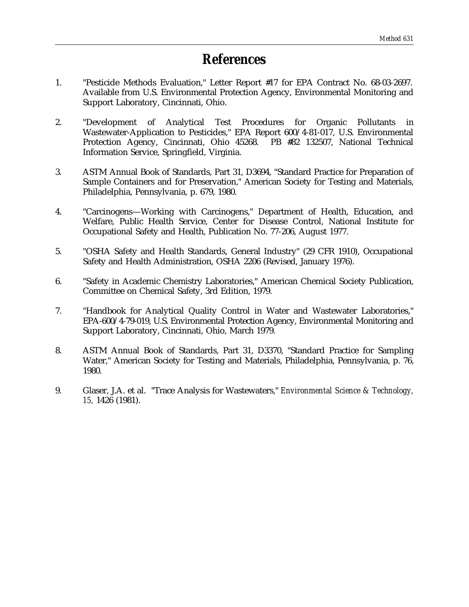# *References*

- 1. "Pesticide Methods Evaluation," Letter Report #17 for EPA Contract No. 68-03-2697. Available from U.S. Environmental Protection Agency, Environmental Monitoring and Support Laboratory, Cincinnati, Ohio.
- 2. "Development of Analytical Test Procedures for Organic Pollutants in Wastewater-Application to Pesticides," EPA Report 600/4-81-017, U.S. Environmental Protection Agency, Cincinnati, Ohio 45268. PB #82 132507, National Technical Information Service, Springfield, Virginia.
- 3. ASTM Annual Book of Standards, Part 31, D3694, "Standard Practice for Preparation of Sample Containers and for Preservation," American Society for Testing and Materials, Philadelphia, Pennsylvania, p. 679, 1980.
- 4. "Carcinogens—Working with Carcinogens," Department of Health, Education, and Welfare, Public Health Service, Center for Disease Control, National Institute for Occupational Safety and Health, Publication No. 77-206, August 1977.
- 5. "OSHA Safety and Health Standards, General Industry" (29 CFR 1910), Occupational Safety and Health Administration, OSHA 2206 (Revised, January 1976).
- 6. "Safety in Academic Chemistry Laboratories," American Chemical Society Publication, Committee on Chemical Safety, 3rd Edition, 1979.
- 7. "Handbook for Analytical Quality Control in Water and Wastewater Laboratories," EPA-600/4-79-019, U.S. Environmental Protection Agency, Environmental Monitoring and Support Laboratory, Cincinnati, Ohio, March 1979.
- 8. ASTM Annual Book of Standards, Part 31, D3370, "Standard Practice for Sampling Water," American Society for Testing and Materials, Philadelphia, Pennsylvania, p. 76, 1980.
- 9. Glaser, J.A. et al. "Trace Analysis for Wastewaters," *Environmental Science & Technology, 15,* 1426 (1981).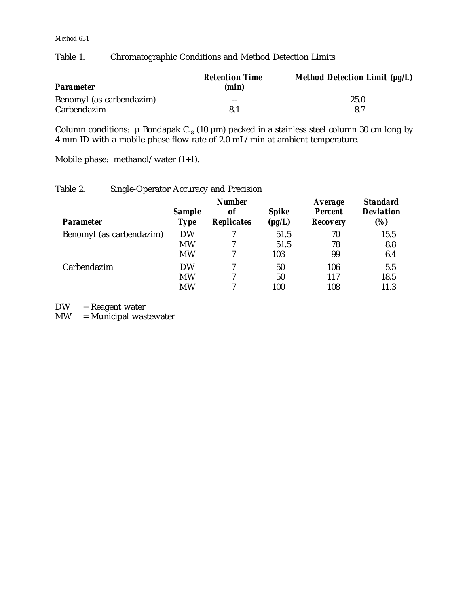# Table 1. Chromatographic Conditions and Method Detection Limits

| <b>Parameter</b>         | <b>Retention Time</b><br>(min) | Method Detection Limit $(\mu g/L)$ |  |
|--------------------------|--------------------------------|------------------------------------|--|
| Benomyl (as carbendazim) | $- -$                          | 25.0                               |  |
| Carbendazim              | 81                             | 8.7                                |  |

Column conditions:  $\,\mu$  Bondapak C $_{18}$  (10  $\mu$ m) packed in a stainless steel column 30 cm long by 4 mm ID with a mobile phase flow rate of 2.0 mL/min at ambient temperature.

Mobile phase: methanol/water (1+1).

### Table 2. Single-Operator Accuracy and Precision

| <b>Parameter</b>         | <b>Sample</b><br><b>Type</b> | <b>Number</b><br><b>of</b><br><b>Replicates</b> | <b>Spike</b><br>$(\mu g/L)$ | <b>Average</b><br><b>Percent</b><br><b>Recovery</b> | <b>Standard</b><br><b>Deviation</b><br>(%) |
|--------------------------|------------------------------|-------------------------------------------------|-----------------------------|-----------------------------------------------------|--------------------------------------------|
| Benomyl (as carbendazim) | <b>DW</b>                    |                                                 | 51.5                        | 70                                                  | 15.5                                       |
|                          | <b>MW</b>                    | 7                                               | 51.5                        | 78                                                  | 8.8                                        |
|                          | <b>MW</b>                    | 7                                               | 103                         | 99                                                  | 6.4                                        |
| Carbendazim              | <b>DW</b>                    | 7                                               | 50                          | 106                                                 | 5.5                                        |
|                          | <b>MW</b>                    | 7                                               | 50                          | 117                                                 | 18.5                                       |
|                          | <b>MW</b>                    | 7                                               | 100                         | 108                                                 | 11.3                                       |

DW = Reagent water<br>MW = Municipal was

 $=$  Municipal wastewater